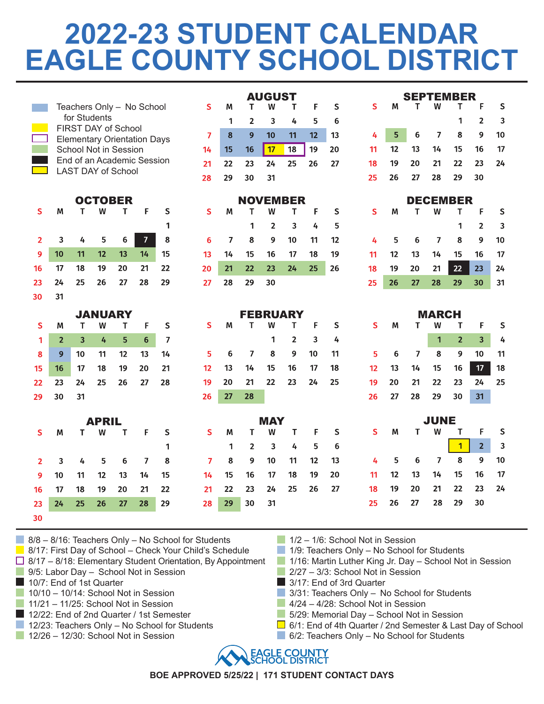## **2022-23 STUDENT CALENDAR EAGLE COUNTY SCHOOL DISTRICT**

AUGUST

|                     |                                   |              |              |                           |                                    |         |                      |         |                | <b>AUGUST</b>         |                |          |          | <b>SEPTEMBER</b> |         |                |                 |                |                     |           |
|---------------------|-----------------------------------|--------------|--------------|---------------------------|------------------------------------|---------|----------------------|---------|----------------|-----------------------|----------------|----------|----------|------------------|---------|----------------|-----------------|----------------|---------------------|-----------|
|                     |                                   |              |              |                           | Teachers Only - No School          |         | S                    | М       | Т              | W                     | Τ              | F        | S        | S.               | М       | т              | W               | T              | F                   | S         |
|                     |                                   | for Students |              | FIRST DAY of School       |                                    |         |                      | 1       | $\overline{2}$ | 3                     | 4              | 5        | 6        |                  |         |                |                 | 1              | $\overline{2}$      | 3         |
|                     |                                   |              |              |                           | <b>Elementary Orientation Days</b> |         | $\overline{7}$       | 8       | 9              | 10                    | 11             | 12       | 13       | 4                | 5       | 6              | 7               | 8              | 9                   | 10        |
|                     |                                   |              |              | School Not in Session     |                                    |         | 14                   | 15      | 16             | 17                    | 18             | 19       | 20       | 11               | 12      | 13             | 14              | 15             | 16                  | 17        |
|                     |                                   |              |              | <b>LAST DAY of School</b> | End of an Academic Session         |         | 21                   | 22      | 23             | 24                    | 25             | 26       | 27       | 18               | 19      | 20             | 21              | 22             | 23                  | 24        |
|                     |                                   |              |              |                           |                                    |         | 28                   | 29      | 30             | 31                    |                |          |          | 25               | 26      | 27             | 28              | 29             | 30                  |           |
|                     | <b>NOVEMBER</b><br><b>OCTOBER</b> |              |              |                           |                                    |         |                      |         |                |                       |                |          |          |                  |         |                | <b>DECEMBER</b> |                |                     |           |
| S                   | М                                 | т            | W            | T                         | F                                  | $\sf S$ | S                    | М       | т              | W                     | T              | F        | S        | S                | M       | T              | W               | T              | F                   | ${\sf S}$ |
|                     |                                   |              |              |                           |                                    | 1       |                      |         | 1              | $\overline{2}$        | 3              | 4        | 5        |                  |         |                |                 | 1              | $\overline{2}$      | 3         |
| $\overline{2}$      | 3                                 | 4            | 5            | 6                         | $\overline{ }$                     | 8       | 6                    | 7       | 8              | 9                     | 10             | 11       | 12       | 4                | 5       | 6              | $\overline{ }$  | 8              | 9                   | 10        |
| 9                   | 10                                | 11           | 12           | 13                        | 14                                 | 15      | 13                   | 14      | 15             | 16                    | 17             | 18       | 19       | 11               | 12      | 13             | 14              | 15             | 16                  | 17        |
| 16                  | 17                                | 18           | 19           | 20                        | 21                                 | 22      | 20                   | 21      | 22             | 23                    | 24             | 25       | 26       | 18               | 19      | 20             | 21              | 22             | 23                  | 24        |
| 23                  | 24                                | 25           | 26           | 27                        | 28                                 | 29      | 27                   | 28      | 29             | 30                    |                |          |          | 25               | 26      | 27             | 28              | 29             | 30                  | 31        |
| 30                  | 31                                |              |              |                           |                                    |         |                      |         |                |                       |                |          |          |                  |         |                |                 |                |                     |           |
|                     | <b>JANUARY</b><br><b>FEBRUARY</b> |              |              |                           |                                    |         |                      |         |                |                       |                |          |          |                  |         |                |                 |                |                     |           |
|                     |                                   |              |              |                           |                                    |         |                      |         |                |                       |                |          |          |                  |         |                | <b>MARCH</b>    |                |                     |           |
| S                   | М                                 | т            | W            | T                         | F                                  | S       | S                    | м       | Т              | W                     | т              | F        | S        | S                | M       | т              | w               | Τ              | F                   | S         |
| 1                   | $\overline{2}$                    | 3            | 4            | 5                         | $6\phantom{a}$                     | 7       |                      |         |                | 1                     | $\overline{2}$ | 3        | 4        |                  |         |                | $\mathbf{1}$    | $\overline{2}$ | $\overline{3}$      | 4         |
| 8                   | 9                                 | 10           | 11           | 12                        | 13                                 | 14      | 5                    | 6       | $\overline{7}$ | 8                     | 9              | 10       | 11       | 5                | 6       | $\overline{7}$ | 8               | 9              | 10                  | 11        |
| 15                  | 16                                | 17           | 18           | 19                        | 20                                 | 21      | 12                   | 13      | 14             | 15                    | 16             | 17       | 18       | 12               | 13      | 14             | 15              | 16             | 17                  | 18        |
| 22                  | 23                                | 24           | 25           | 26                        | 27                                 | 28      | 19                   | 20      | 21             | 22                    | 23             | 24       | 25       | 19               | 20      | 21             | 22              | 23             | 24                  | 25        |
| 29                  | 30                                | 31           |              |                           |                                    |         | 26                   | 27      | 28             |                       |                |          |          | 26               | 27      | 28             | 29              | 30             | 31                  |           |
|                     |                                   |              |              |                           |                                    |         |                      |         |                |                       |                |          |          |                  |         |                |                 |                |                     |           |
|                     |                                   |              | <b>APRIL</b> |                           |                                    |         |                      |         |                | <b>MAY</b>            |                |          |          |                  |         |                | <b>JUNE</b>     |                |                     |           |
| S                   | М                                 | т            | W            | т                         | F                                  | S       | $\mathsf{S}$         | М       | т              | w                     | Т              | F        | S        | S                | М       | т              | w               | т              | F                   | S         |
|                     |                                   |              |              |                           |                                    | 1       |                      | 1       | $\overline{2}$ | 3                     | 4              | 5        | 6        | 4                |         |                | 7               | $\overline{1}$ | $\overline{2}$<br>9 | 3         |
| $\overline{2}$<br>9 | 3                                 | 4<br>11      | 5<br>12      | 6                         | $\overline{ }$<br>14               | 8<br>15 | $\overline{ }$<br>14 | 8<br>15 | 9<br>16        | 10 <sup>1</sup><br>17 | 11<br>18       | 12<br>19 | 13<br>20 | 11               | 5<br>12 | 6<br>13        | 14              | 8<br>15        | 16                  | 10<br>17  |
| 16                  | 10<br>17                          | 18           | 19           | 13<br>20                  | 21                                 | 22      | 21                   | 22      | 23             | 24                    | 25             | 26       | 27       | 18               | 19      | 20             | 21              | 22             | 23                  | 24        |
| 23                  | 24                                | 25           | 26           | 27                        | 28                                 | 29      | 28                   | 29      | 30             | 31                    |                |          |          | 25               | 26      | 27             | 28              | 29             | 30                  |           |

8/8 – 8/16: Teachers Only – No School for Students

- 8/17: First Day of School Check Your Child's Schedule
- $\Box$  8/17 8/18: Elementary Student Orientation, By Appointment
- 9/5: Labor Day School Not in Session
- 10/7: End of 1st Quarter
- 10/10 10/14: School Not in Session
- $11/21 11/25$ : School Not in Session
- 12/22: End of 2nd Quarter / 1st Semester
- 12/23: Teachers Only No School for Students
- 12/26 12/30: School Not in Session
- 1/2 1/6: School Not in Session
- $\blacksquare$  1/9: Teachers Only No School for Students
- 1/16: Martin Luther King Jr. Day School Not in Session
- $\blacksquare$  2/27 3/3: School Not in Session
- 3/17: End of 3rd Quarter
- 3/31: Teachers Only No School for Students
- $4/24 4/28$ : School Not in Session
- 5/29: Memorial Day School Not in Session
- 6/1: End of 4th Quarter / 2nd Semester & Last Day of School
- $\Box$  6/2: Teachers Only No School for Students